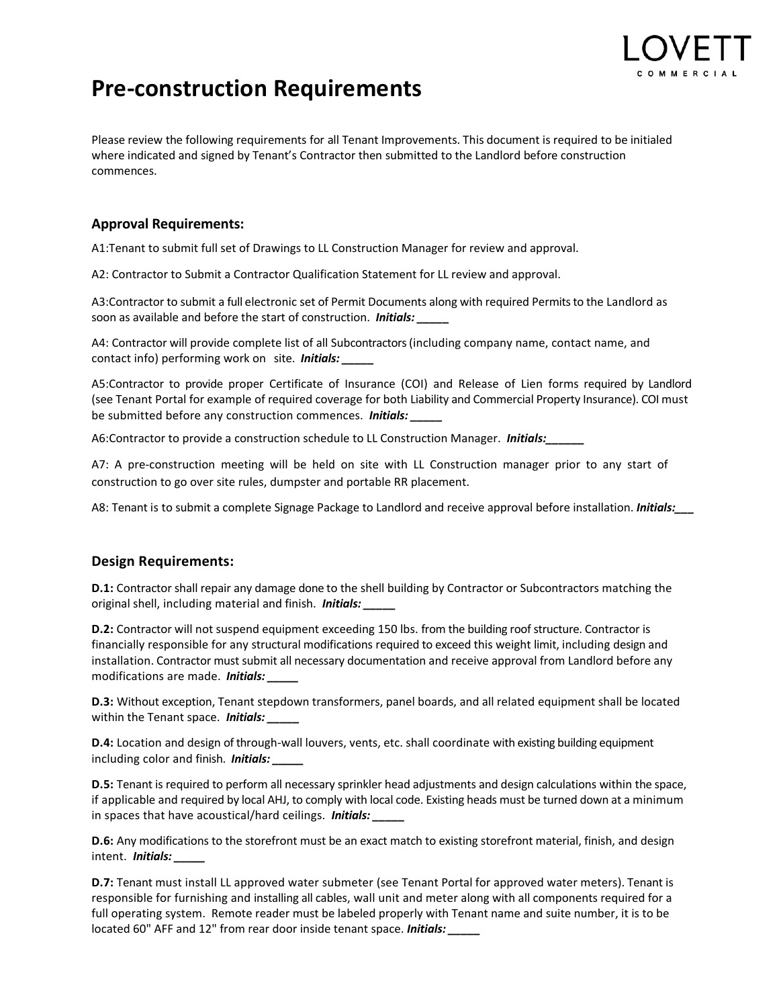

# **Pre-construction Requirements**

Please review the following requirements for all Tenant Improvements. This document is required to be initialed where indicated and signed by Tenant's Contractor then submitted to the Landlord before construction commences.

## **Approval Requirements:**

A1:Tenant to submit full set of Drawings to LL Construction Manager for review and approval.

A2: Contractor to Submit a Contractor Qualification Statement for LL review and approval.

A3:Contractor to submit a full electronic set of Permit Documents along with required Permits to the Landlord as soon as available and before the start of construction. *Initials: \_\_\_\_\_*

A4: Contractor will provide complete list of all Subcontractors (including company name, contact name, and contact info) performing work on site. *Initials: \_\_\_\_\_*

A5:Contractor to provide proper Certificate of Insurance (COI) and Release of Lien forms required by Landlord (see Tenant Portal for example of required coverage for both Liability and Commercial Property Insurance). COI must be submitted before any construction commences. *Initials: \_\_\_\_\_*

A6:Contractor to provide a construction schedule to LL Construction Manager. *Initials:\_\_\_\_\_\_*

A7: A pre-construction meeting will be held on site with LL Construction manager prior to any start of construction to go over site rules, dumpster and portable RR placement.

A8: Tenant is to submit a complete Signage Package to Landlord and receive approval before installation. *Initials:\_\_\_*

## **Design Requirements:**

**D.1:** Contractor shall repair any damage done to the shell building by Contractor or Subcontractors matching the original shell, including material and finish. *Initials: \_\_\_\_\_*

**D.2:** Contractor will not suspend equipment exceeding 150 lbs. from the building roof structure. Contractor is financially responsible for any structural modifications required to exceed this weight limit, including design and installation. Contractor must submit all necessary documentation and receive approval from Landlord before any modifications are made. *Initials: \_\_\_\_\_*

**D.3:** Without exception, Tenant stepdown transformers, panel boards, and all related equipment shall be located within the Tenant space. **Initials:** 

**D.4:** Location and design of through-wall louvers, vents, etc. shall coordinate with existing building equipment including color and finish. *Initials: \_\_\_\_\_*

**D.5:** Tenant is required to perform all necessary sprinkler head adjustments and design calculations within the space, if applicable and required by local AHJ, to comply with local code. Existing heads must be turned down at a minimum in spaces that have acoustical/hard ceilings. *Initials: \_\_\_\_\_*

**D.6:** Any modifications to the storefront must be an exact match to existing storefront material, finish, and design intent. *Initials: \_\_\_\_\_*

**D.7:** Tenant must install LL approved water submeter (see Tenant Portal for approved water meters). Tenant is responsible for furnishing and installing all cables, wall unit and meter along with all components required for a full operating system. Remote reader must be labeled properly with Tenant name and suite number, it is to be located 60" AFF and 12" from rear door inside tenant space. *Initials: \_\_\_\_\_*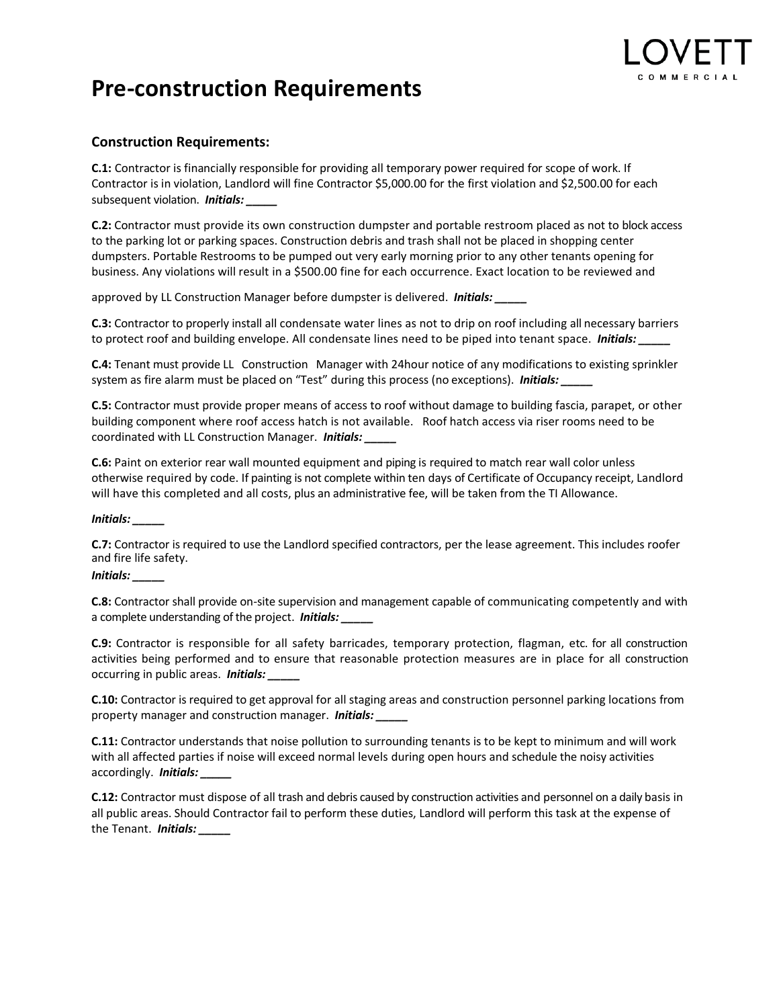

# **Pre-construction Requirements**

### **Construction Requirements:**

**C.1:** Contractor is financially responsible for providing all temporary power required for scope of work. If Contractor is in violation, Landlord will fine Contractor \$5,000.00 for the first violation and \$2,500.00 for each subsequent violation. *Initials: \_\_\_\_\_*

**C.2:** Contractor must provide its own construction dumpster and portable restroom placed as not to block access to the parking lot or parking spaces. Construction debris and trash shall not be placed in shopping center dumpsters. Portable Restrooms to be pumped out very early morning prior to any other tenants opening for business. Any violations will result in a \$500.00 fine for each occurrence. Exact location to be reviewed and

approved by LL Construction Manager before dumpster is delivered. *Initials: \_\_\_\_\_*

**C.3:** Contractor to properly install all condensate water lines as not to drip on roof including all necessary barriers to protect roof and building envelope. All condensate lines need to be piped into tenant space. *Initials:* 

**C.4:** Tenant must provide LL Construction Manager with 24hour notice of any modifications to existing sprinkler system as fire alarm must be placed on "Test" during this process (no exceptions). *Initials:* 

**C.5:** Contractor must provide proper means of access to roof without damage to building fascia, parapet, or other building component where roof access hatch is not available. Roof hatch access via riser rooms need to be coordinated with LL Construction Manager. *Initials: \_\_\_\_\_*

**C.6:** Paint on exterior rear wall mounted equipment and piping is required to match rear wall color unless otherwise required by code. If painting is not complete within ten days of Certificate of Occupancy receipt, Landlord will have this completed and all costs, plus an administrative fee, will be taken from the TI Allowance.

*Initials: \_\_\_\_\_*

**C.7:** Contractor is required to use the Landlord specified contractors, per the lease agreement. This includes roofer and fire life safety.

### *Initials: \_\_\_\_\_*

**C.8:** Contractor shall provide on-site supervision and management capable of communicating competently and with a complete understanding of the project. *Initials: \_\_\_\_\_*

**C.9:** Contractor is responsible for all safety barricades, temporary protection, flagman, etc. for all construction activities being performed and to ensure that reasonable protection measures are in place for all construction occurring in public areas. *Initials: \_\_\_\_\_*

**C.10:** Contractor is required to get approval for all staging areas and construction personnel parking locations from property manager and construction manager. *Initials: \_\_\_\_\_*

**C.11:** Contractor understands that noise pollution to surrounding tenants is to be kept to minimum and will work with all affected parties if noise will exceed normal levels during open hours and schedule the noisy activities accordingly. *Initials: \_\_\_\_\_*

**C.12:** Contractor must dispose of all trash and debris caused by construction activities and personnel on a daily basis in all public areas. Should Contractor fail to perform these duties, Landlord will perform this task at the expense of the Tenant. *Initials: \_\_\_\_\_*